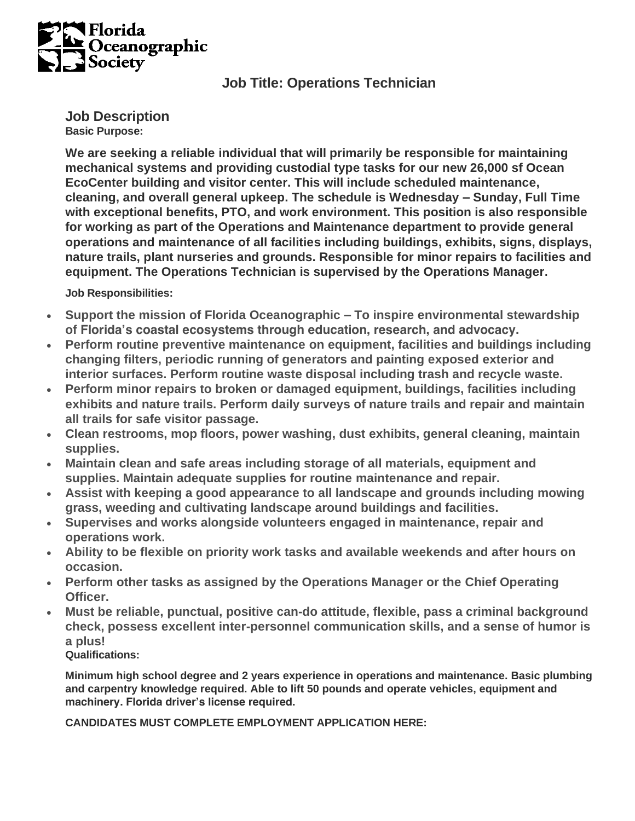

## **Job Title: Operations Technician**

**Job Description Basic Purpose:**

**We are seeking a reliable individual that will primarily be responsible for maintaining mechanical systems and providing custodial type tasks for our new 26,000 sf Ocean EcoCenter building and visitor center. This will include scheduled maintenance, cleaning, and overall general upkeep. The schedule is Wednesday – Sunday, Full Time with exceptional benefits, PTO, and work environment. This position is also responsible for working as part of the Operations and Maintenance department to provide general operations and maintenance of all facilities including buildings, exhibits, signs, displays, nature trails, plant nurseries and grounds. Responsible for minor repairs to facilities and equipment. The Operations Technician is supervised by the Operations Manager.**

**Job Responsibilities:**

- **Support the mission of Florida Oceanographic – To inspire environmental stewardship of Florida's coastal ecosystems through education, research, and advocacy.**
- **Perform routine preventive maintenance on equipment, facilities and buildings including changing filters, periodic running of generators and painting exposed exterior and interior surfaces. Perform routine waste disposal including trash and recycle waste.**
- **Perform minor repairs to broken or damaged equipment, buildings, facilities including exhibits and nature trails. Perform daily surveys of nature trails and repair and maintain all trails for safe visitor passage.**
- **Clean restrooms, mop floors, power washing, dust exhibits, general cleaning, maintain supplies.**
- **Maintain clean and safe areas including storage of all materials, equipment and supplies. Maintain adequate supplies for routine maintenance and repair.**
- **Assist with keeping a good appearance to all landscape and grounds including mowing grass, weeding and cultivating landscape around buildings and facilities.**
- **Supervises and works alongside volunteers engaged in maintenance, repair and operations work.**
- **Ability to be flexible on priority work tasks and available weekends and after hours on occasion.**
- **Perform other tasks as assigned by the Operations Manager or the Chief Operating Officer.**
- **Must be reliable, punctual, positive can-do attitude, flexible, pass a criminal background check, possess excellent inter-personnel communication skills, and a sense of humor is a plus!**

**Qualifications:**

**Minimum high school degree and 2 years experience in operations and maintenance. Basic plumbing and carpentry knowledge required. Able to lift 50 pounds and operate vehicles, equipment and machinery. Florida driver's license required.**

**CANDIDATES MUST COMPLETE EMPLOYMENT APPLICATION HERE:**